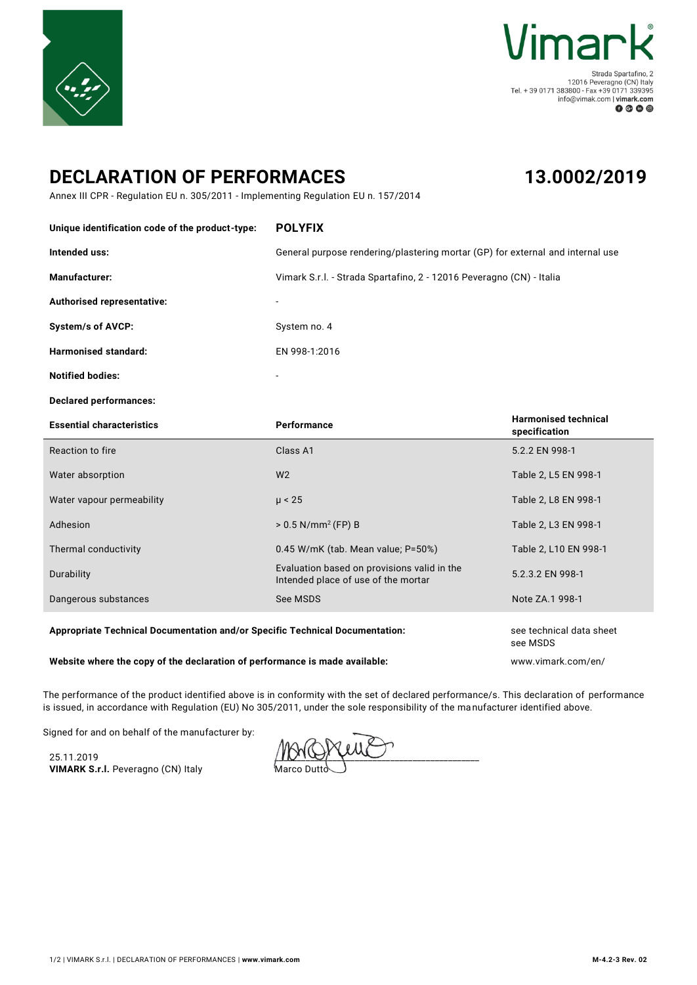



Strada Spartafino, 2 = 12016 Peveragno (CN) Italy<br>Tel. + 39 0171 383800 - Fax +39 0171 339395 info@vimak.com | vimark.com  $0 0 0 0$ 

## **DECLARATION OF PERFORMACES**

## **13.0002/2019**

Annex III CPR - Regulation EU n. 305/2011 - Implementing Regulation EU n. 157/2014

| Unique identification code of the product-type:                              | <b>POLYFIX</b>                                                                     |                                              |
|------------------------------------------------------------------------------|------------------------------------------------------------------------------------|----------------------------------------------|
| Intended uss:                                                                | General purpose rendering/plastering mortar (GP) for external and internal use     |                                              |
| Manufacturer:                                                                | Vimark S.r.l. - Strada Spartafino, 2 - 12016 Peveragno (CN) - Italia               |                                              |
| Authorised representative:                                                   |                                                                                    |                                              |
| <b>System/s of AVCP:</b>                                                     | System no. 4                                                                       |                                              |
| <b>Harmonised standard:</b>                                                  | EN 998-1:2016                                                                      |                                              |
| <b>Notified bodies:</b>                                                      |                                                                                    |                                              |
| <b>Declared performances:</b>                                                |                                                                                    |                                              |
| <b>Essential characteristics</b>                                             | Performance                                                                        | <b>Harmonised technical</b><br>specification |
| Reaction to fire                                                             | Class A1                                                                           | 5.2.2 EN 998-1                               |
| Water absorption                                                             | W <sub>2</sub>                                                                     | Table 2, L5 EN 998-1                         |
| Water vapour permeability                                                    | $\mu$ < 25                                                                         | Table 2, L8 EN 998-1                         |
| Adhesion                                                                     | $> 0.5$ N/mm <sup>2</sup> (FP) B                                                   | Table 2, L3 EN 998-1                         |
| Thermal conductivity                                                         | 0.45 W/mK (tab. Mean value; P=50%)                                                 | Table 2, L10 EN 998-1                        |
| Durability                                                                   | Evaluation based on provisions valid in the<br>Intended place of use of the mortar | 5.2.3.2 EN 998-1                             |
| Dangerous substances                                                         | See MSDS                                                                           | Note ZA.1 998-1                              |
| Appropriate Technical Documentation and/or Specific Technical Documentation: |                                                                                    | see technical data sheet<br>see MSDS         |

**Website where the copy of the declaration of performance is made available:** www.vimark.com/en/

The performance of the product identified above is in conformity with the set of declared performance/s. This declaration of performance is issued, in accordance with Regulation (EU) No 305/2011, under the sole responsibility of the manufacturer identified above.

Signed for and on behalf of the manufacturer by:

25.11.2019 **VIMARK S.r.l.** Peveragno (CN) Italy

 $\mu$ Marco Dutto